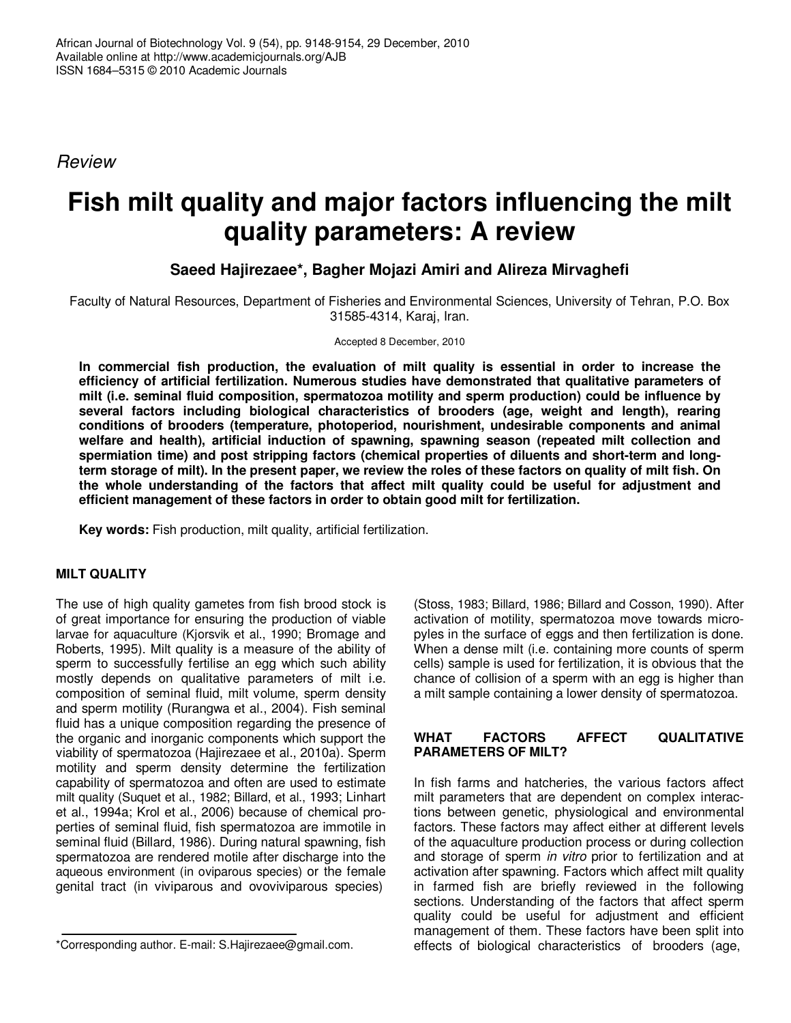*Review*

# **Fish milt quality and major factors influencing the milt quality parameters: A review**

## **Saeed Hajirezaee\*, Bagher Mojazi Amiri and Alireza Mirvaghefi**

Faculty of Natural Resources, Department of Fisheries and Environmental Sciences, University of Tehran, P.O. Box 31585-4314, Karaj, Iran.

Accepted 8 December, 2010

**In commercial fish production, the evaluation of milt quality is essential in order to increase the efficiency of artificial fertilization. Numerous studies have demonstrated that qualitative parameters of milt (i.e. seminal fluid composition, spermatozoa motility and sperm production) could be influence by several factors including biological characteristics of brooders (age, weight and length), rearing conditions of brooders (temperature, photoperiod, nourishment, undesirable components and animal welfare and health), artificial induction of spawning, spawning season (repeated milt collection and spermiation time) and post stripping factors (chemical properties of diluents and short-term and long**term storage of milt). In the present paper, we review the roles of these factors on quality of milt fish. On **the whole understanding of the factors that affect milt quality could be useful for adjustment and efficient management of these factors in order to obtain good milt for fertilization.**

**Key words:** Fish production, milt quality, artificial fertilization.

## **MILT QUALITY**

The use of high quality gametes from fish brood stock is of great importance for ensuring the production of viable larvae for aquaculture (Kjorsvik et al., 1990; Bromage and Roberts, 1995). Milt quality is a measure of the ability of sperm to successfully fertilise an egg which such ability mostly depends on qualitative parameters of milt i.e. composition of seminal fluid, milt volume, sperm density and sperm motility (Rurangwa et al., 2004). Fish seminal fluid has a unique composition regarding the presence of the organic and inorganic components which support the viability of spermatozoa (Hajirezaee et al., 2010a). Sperm motility and sperm density determine the fertilization capability of spermatozoa and often are used to estimate milt quality (Suquet et al., 1982; Billard, et al., 1993; Linhart et al., 1994a; Krol et al., 2006) because of chemical properties of seminal fluid, fish spermatozoa are immotile in seminal fluid (Billard, 1986). During natural spawning, fish spermatozoa are rendered motile after discharge into the aqueous environment (in oviparous species) or the female genital tract (in viviparous and ovoviviparous species)

(Stoss, 1983; Billard, 1986; Billard and Cosson, 1990). After activation of motility, spermatozoa move towards micropyles in the surface of eggs and then fertilization is done. When a dense milt (i.e. containing more counts of sperm cells) sample is used for fertilization, it is obvious that the chance of collision of a sperm with an egg is higher than a milt sample containing a lower density of spermatozoa.

## **WHAT FACTORS AFFECT QUALITATIVE PARAMETERS OF MILT?**

In fish farms and hatcheries, the various factors affect milt parameters that are dependent on complex interactions between genetic, physiological and environmental factors. These factors may affect either at different levels of the aquaculture production process or during collection and storage of sperm *in vitro* prior to fertilization and at activation after spawning. Factors which affect milt quality in farmed fish are briefly reviewed in the following sections. Understanding of the factors that affect sperm quality could be useful for adjustment and efficient management of them. These factors have been split into effects of biological characteristics of brooders (age,

<sup>\*</sup>Corresponding author. E-mail: S.Hajirezaee@gmail.com.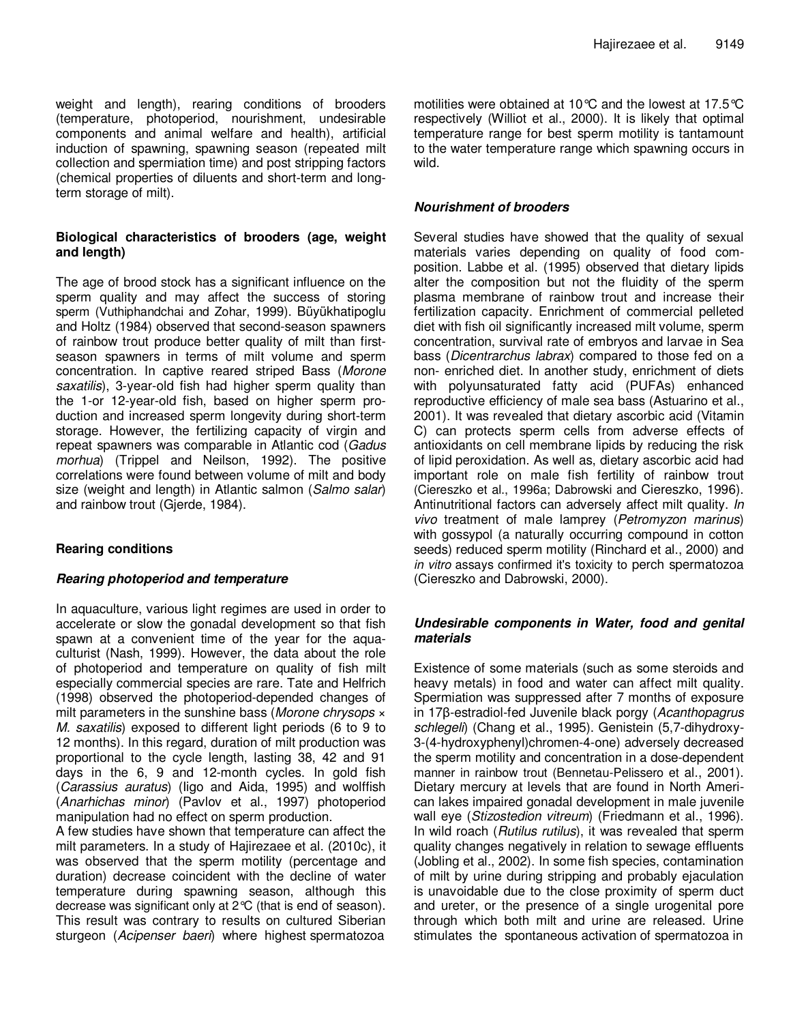weight and length), rearing conditions of brooders (temperature, photoperiod, nourishment, undesirable components and animal welfare and health), artificial induction of spawning, spawning season (repeated milt collection and spermiation time) and post stripping factors (chemical properties of diluents and short-term and longterm storage of milt).

## **Biological characteristics of brooders (age, weight and length)**

The age of brood stock has a significant influence on the sperm quality and may affect the success of storing sperm (Vuthiphandchai and Zohar, 1999). Büyükhatipoglu and Holtz (1984) observed that second-season spawners of rainbow trout produce better quality of milt than firstseason spawners in terms of milt volume and sperm concentration. In captive reared striped Bass (*Morone saxatilis*), 3-year-old fish had higher sperm quality than the 1-or 12-year-old fish, based on higher sperm production and increased sperm longevity during short-term storage. However, the fertilizing capacity of virgin and repeat spawners was comparable in Atlantic cod (*Gadus morhua*) (Trippel and Neilson, 1992). The positive correlations were found between volume of milt and body size (weight and length) in Atlantic salmon (*Salmo salar*) and rainbow trout (Gjerde, 1984).

## **Rearing conditions**

#### *Rearing photoperiod and temperature*

In aquaculture, various light regimes are used in order to accelerate or slow the gonadal development so that fish spawn at a convenient time of the year for the aquaculturist (Nash, 1999). However, the data about the role of photoperiod and temperature on quality of fish milt especially commercial species are rare. Tate and Helfrich (1998) observed the photoperiod-depended changes of milt parameters in the sunshine bass (*Morone chrysops* × *M. saxatilis*) exposed to different light periods (6 to 9 to 12 months). In this regard, duration of milt production was proportional to the cycle length, lasting 38, 42 and 91 days in the 6, 9 and 12-month cycles. In gold fish (*Carassius auratus*) (Iigo and Aida, 1995) and wolffish (*Anarhichas minor*) (Pavlov et al., 1997) photoperiod manipulation had no effect on sperm production.

A few studies have shown that temperature can affect the milt parameters. In a study of Hajirezaee et al. (2010c), it was observed that the sperm motility (percentage and duration) decrease coincident with the decline of water temperature during spawning season, although this decrease was significant only at 2°C (that is end of season). This result was contrary to results on cultured Siberian sturgeon (*Acipenser baeri*) where highest spermatozoa

motilities were obtained at 10°C and the lowest at 17.5°C respectively (Williot et al., 2000). It is likely that optimal temperature range for best sperm motility is tantamount to the water temperature range which spawning occurs in wild.

## *Nourishment of brooders*

Several studies have showed that the quality of sexual materials varies depending on quality of food composition. Labbe et al. (1995) observed that dietary lipids alter the composition but not the fluidity of the sperm plasma membrane of rainbow trout and increase their fertilization capacity. Enrichment of commercial pelleted diet with fish oil significantly increased milt volume, sperm concentration, survival rate of embryos and larvae in Sea bass (*Dicentrarchus labrax*) compared to those fed on a non- enriched diet. In another study, enrichment of diets with polyunsaturated fatty acid (PUFAs) enhanced reproductive efficiency of male sea bass (Astuarino et al., 2001). It was revealed that dietary ascorbic acid (Vitamin C) can protects sperm cells from adverse effects of antioxidants on cell membrane lipids by reducing the risk of lipid peroxidation. As well as, dietary ascorbic acid had important role on male fish fertility of rainbow trout (Ciereszko et al., 1996a; Dabrowski and Ciereszko, 1996). Antinutritional factors can adversely affect milt quality. *In vivo* treatment of male lamprey (*Petromyzon marinus*) with gossypol (a naturally occurring compound in cotton seeds) reduced sperm motility (Rinchard et al., 2000) and *in vitro* assays confirmed it's toxicity to perch spermatozoa (Ciereszko and Dabrowski, 2000).

## *Undesirable components in Water, food and genital materials*

Existence of some materials (such as some steroids and heavy metals) in food and water can affect milt quality. Spermiation was suppressed after 7 months of exposure in 17<sub>8</sub>-estradiol-fed Juvenile black porgy (*Acanthopagrus schlegeli*) (Chang et al., 1995). Genistein (5,7-dihydroxy-3-(4-hydroxyphenyl)chromen-4-one) adversely decreased the sperm motility and concentration in a dose-dependent manner in rainbow trout (Bennetau-Pelissero et al., 2001). Dietary mercury at levels that are found in North American lakes impaired gonadal development in male juvenile wall eye (*Stizostedion vitreum*) (Friedmann et al., 1996). In wild roach (*Rutilus rutilus*), it was revealed that sperm quality changes negatively in relation to sewage effluents (Jobling et al., 2002). In some fish species, contamination of milt by urine during stripping and probably ejaculation is unavoidable due to the close proximity of sperm duct and ureter, or the presence of a single urogenital pore through which both milt and urine are released. Urine stimulates the spontaneous activation of spermatozoa in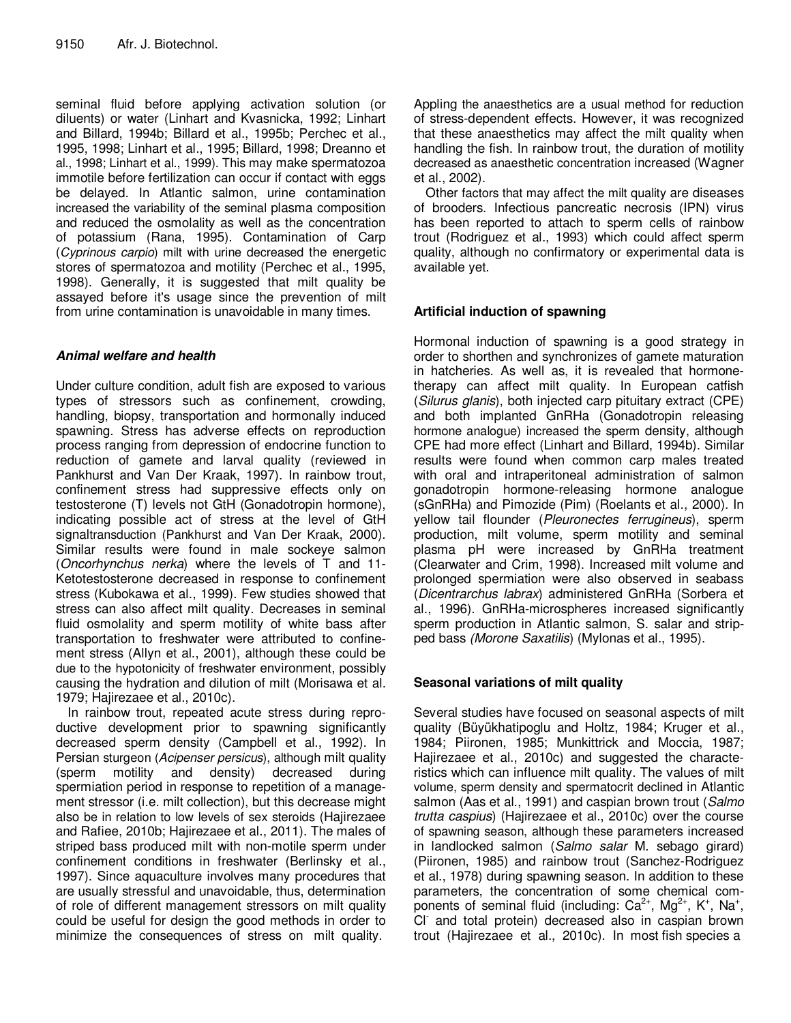seminal fluid before applying activation solution (or diluents) or water (Linhart and Kvasnicka, 1992; Linhart and Billard, 1994b; Billard et al., 1995b; Perchec et al., 1995, 1998; Linhart et al., 1995; Billard, 1998; Dreanno et al., 1998; Linhart et al., 1999). This may make spermatozoa immotile before fertilization can occur if contact with eggs be delayed. In Atlantic salmon, urine contamination increased the variability of the seminal plasma composition and reduced the osmolality as well as the concentration of potassium (Rana, 1995). Contamination of Carp (*Cyprinous carpio*) milt with urine decreased the energetic stores of spermatozoa and motility (Perchec et al., 1995, 1998). Generally, it is suggested that milt quality be assayed before it's usage since the prevention of milt from urine contamination is unavoidable in many times.

## *Animal welfare and health*

Under culture condition, adult fish are exposed to various types of stressors such as confinement, crowding, handling, biopsy, transportation and hormonally induced spawning. Stress has adverse effects on reproduction process ranging from depression of endocrine function to reduction of gamete and larval quality (reviewed in Pankhurst and Van Der Kraak, 1997). In rainbow trout, confinement stress had suppressive effects only on testosterone (T) levels not GtH (Gonadotropin hormone), indicating possible act of stress at the level of GtH signaltransduction (Pankhurst and Van Der Kraak, 2000). Similar results were found in male sockeye salmon (*Oncorhynchus nerka*) where the levels of T and 11- Ketotestosterone decreased in response to confinement stress (Kubokawa et al., 1999). Few studies showed that stress can also affect milt quality. Decreases in seminal fluid osmolality and sperm motility of white bass after transportation to freshwater were attributed to confinement stress (Allyn et al., 2001), although these could be due to the hypotonicity of freshwater environment, possibly causing the hydration and dilution of milt (Morisawa et al. 1979; Hajirezaee et al., 2010c).

In rainbow trout, repeated acute stress during reproductive development prior to spawning significantly decreased sperm density (Campbell et al., 1992). In Persian sturgeon (*Acipenser persicus*), although milt quality (sperm motility and density) decreased during spermiation period in response to repetition of a management stressor (i.e. milt collection), but this decrease might also be in relation to low levels of sex steroids (Hajirezaee and Rafiee, 2010b; Hajirezaee et al., 2011). The males of striped bass produced milt with non-motile sperm under confinement conditions in freshwater (Berlinsky et al., 1997). Since aquaculture involves many procedures that are usually stressful and unavoidable, thus, determination of role of different management stressors on milt quality could be useful for design the good methods in order to minimize the consequences of stress on milt quality.

Appling the anaesthetics are a usual method for reduction of stress-dependent effects. However, it was recognized that these anaesthetics may affect the milt quality when handling the fish. In rainbow trout, the duration of motility decreased as anaesthetic concentration increased (Wagner et al., 2002).

Other factors that may affect the milt quality are diseases of brooders. Infectious pancreatic necrosis (IPN) virus has been reported to attach to sperm cells of rainbow trout (Rodriguez et al., 1993) which could affect sperm quality, although no confirmatory or experimental data is available yet.

## **Artificial induction of spawning**

Hormonal induction of spawning is a good strategy in order to shorthen and synchronizes of gamete maturation in hatcheries. As well as, it is revealed that hormonetherapy can affect milt quality. In European catfish (*Silurus glanis*), both injected carp pituitary extract (CPE) and both implanted GnRHa (Gonadotropin releasing hormone analogue) increased the sperm density, although CPE had more effect (Linhart and Billard, 1994b). Similar results were found when common carp males treated with oral and intraperitoneal administration of salmon gonadotropin hormone-releasing hormone analogue (sGnRHa) and Pimozide (Pim) (Roelants et al., 2000). In yellow tail flounder (*Pleuronectes ferrugineus*), sperm production, milt volume, sperm motility and seminal plasma pH were increased by GnRHa treatment (Clearwater and Crim, 1998). Increased milt volume and prolonged spermiation were also observed in seabass (*Dicentrarchus labrax*) administered GnRHa (Sorbera et al., 1996). GnRHa-microspheres increased significantly sperm production in Atlantic salmon, S. salar and stripped bass *(Morone Saxatilis*) (Mylonas et al., 1995).

## **Seasonal variations of milt quality**

Several studies have focused on seasonal aspects of milt quality (Büyükhatipoglu and Holtz, 1984; Kruger et al., 1984; Piironen, 1985; Munkittrick and Moccia, 1987; Hajirezaee et al., 2010c) and suggested the characteristics which can influence milt quality. The values of milt volume, sperm density and spermatocrit declined in Atlantic salmon (Aas et al., 1991) and caspian brown trout (*Salmo trutta caspius*) (Hajirezaee et al., 2010c) over the course of spawning season, although these parameters increased in landlocked salmon (*Salmo salar* M. sebago girard) (Piironen, 1985) and rainbow trout (Sanchez-Rodriguez et al., 1978) during spawning season. In addition to these parameters, the concentration of some chemical components of seminal fluid (including:  $Ca^{2+}$ , Mg<sup>2+</sup>, K<sup>+</sup>, Na<sup>+</sup>, Cl - and total protein) decreased also in caspian brown trout (Hajirezaee et al., 2010c). In most fish species a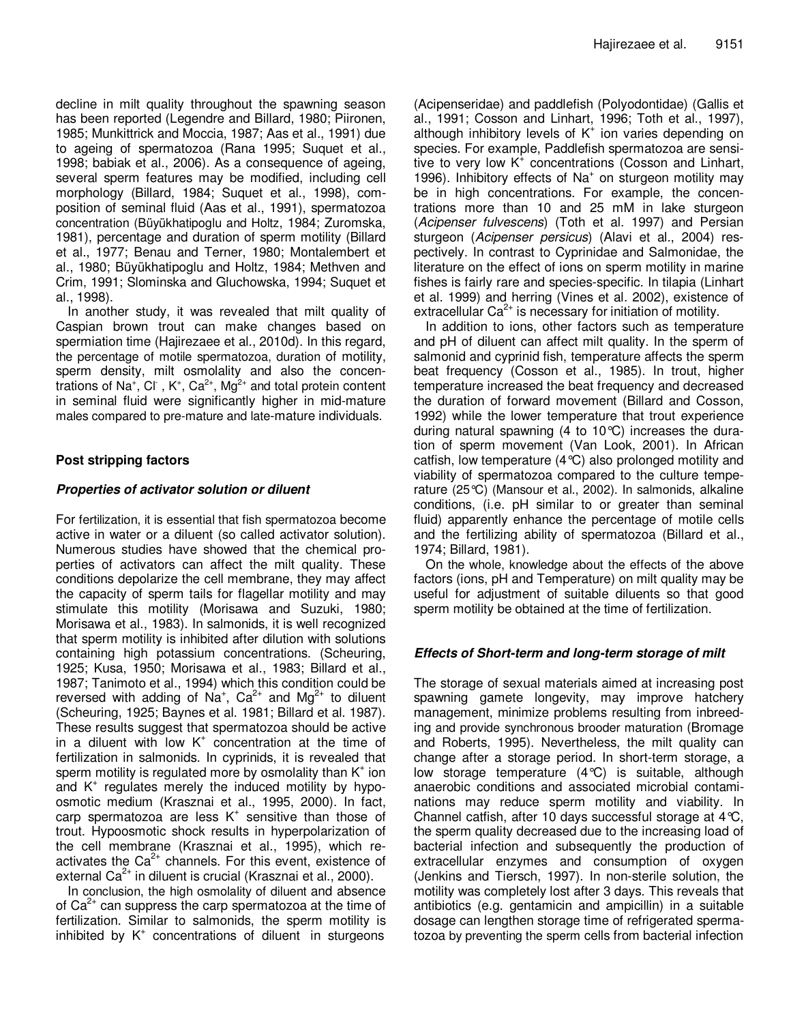decline in milt quality throughout the spawning season has been reported (Legendre and Billard, 1980; Piironen, 1985; Munkittrick and Moccia, 1987; Aas et al., 1991) due to ageing of spermatozoa (Rana 1995; Suquet et al., 1998; babiak et al., 2006). As a consequence of ageing, several sperm features may be modified, including cell morphology (Billard, 1984; Suquet et al., 1998), composition of seminal fluid (Aas et al., 1991), spermatozoa concentration (Büyükhatipoglu and Holtz, 1984; Zuromska, 1981), percentage and duration of sperm motility (Billard et al., 1977; Benau and Terner, 1980; Montalembert et al., 1980; Büyükhatipoglu and Holtz, 1984; Methven and Crim, 1991; Slominska and Gluchowska, 1994; Suquet et al., 1998).

In another study, it was revealed that milt quality of Caspian brown trout can make changes based on spermiation time (Hajirezaee et al., 2010d). In this regard, the percentage of motile spermatozoa, duration of motility, sperm density, milt osmolality and also the concentrations of Na<sup>+</sup>, Cl , K<sup>+</sup>, Ca<sup>2+</sup>, Mg<sup>2+</sup> and total protein content in seminal fluid were significantly higher in mid-mature males compared to pre-mature and late-mature individuals.

## **Post stripping factors**

## *Properties of activator solution or diluent*

For fertilization, it is essential that fish spermatozoa become active in water or a diluent (so called activator solution). Numerous studies have showed that the chemical properties of activators can affect the milt quality. These conditions depolarize the cell membrane, they may affect the capacity of sperm tails for flagellar motility and may stimulate this motility (Morisawa and Suzuki, 1980; Morisawa et al., 1983). In salmonids, it is well recognized that sperm motility is inhibited after dilution with solutions containing high potassium concentrations. (Scheuring, 1925; Kusa, 1950; Morisawa et al., 1983; Billard et al., 1987; Tanimoto et al., 1994) which this condition could be reversed with adding of  $Na^+$ , Ca<sup>2+</sup> and Mg<sup>2+</sup> to diluent (Scheuring, 1925; Baynes et al. 1981; Billard et al. 1987). These results suggest that spermatozoa should be active in a diluent with low K + concentration at the time of fertilization in salmonids. In cyprinids, it is revealed that sperm motility is regulated more by osmolality than  $K^*$  ion and K<sup>+</sup> regulates merely the induced motility by hypoosmotic medium (Krasznai et al., 1995, 2000). In fact, carp spermatozoa are less K<sup>+</sup> sensitive than those of trout. Hypoosmotic shock results in hyperpolarization of the cell membrane (Krasznai et al., 1995), which reactivates the Ca<sup>2+</sup> channels. For this event, existence of external Ca<sup>2+</sup> in diluent is crucial (Krasznai et al., 2000).

In conclusion, the high osmolality of diluent and absence of Ca $^{2+}$  can suppress the carp spermatozoa at the time of fertilization. Similar to salmonids, the sperm motility is inhibited by K + concentrations of diluent in sturgeons

(Acipenseridae) and paddlefish (Polyodontidae) (Gallis et al., 1991; Cosson and Linhart, 1996; Toth et al., 1997), although inhibitory levels of  $K^+$  ion varies depending on species. For example, Paddlefish spermatozoa are sensitive to very low K<sup>+</sup> concentrations (Cosson and Linhart, 1996). Inhibitory effects of Na<sup>+</sup> on sturgeon motility may be in high concentrations. For example, the concentrations more than 10 and 25 mM in lake sturgeon (*Acipenser fulvescens*) (Toth et al. 1997) and Persian sturgeon (*Acipenser persicus*) (Alavi et al., 2004) respectively. In contrast to Cyprinidae and Salmonidae, the literature on the effect of ions on sperm motility in marine fishes is fairly rare and species-specific. In tilapia (Linhart et al. 1999) and herring (Vines et al. 2002), existence of extracellular  $Ca^{2+}$  is necessary for initiation of motility.

In addition to ions, other factors such as temperature and pH of diluent can affect milt quality. In the sperm of salmonid and cyprinid fish, temperature affects the sperm beat frequency (Cosson et al., 1985). In trout, higher temperature increased the beat frequency and decreased the duration of forward movement (Billard and Cosson, 1992) while the lower temperature that trout experience during natural spawning (4 to 10°C) increases the duration of sperm movement (Van Look, 2001). In African catfish, low temperature (4°C) also prolonged motility and viability of spermatozoa compared to the culture temperature (25°C) (Mansour et al., 2002). In salmonids, alkaline conditions, (i.e. pH similar to or greater than seminal fluid) apparently enhance the percentage of motile cells and the fertilizing ability of spermatozoa (Billard et al., 1974; Billard, 1981).

On the whole, knowledge about the effects of the above factors (ions, pH and Temperature) on milt quality may be useful for adjustment of suitable diluents so that good sperm motility be obtained at the time of fertilization.

#### *Effects of Short-term and long-term storage of milt*

The storage of sexual materials aimed at increasing post spawning gamete longevity, may improve hatchery management, minimize problems resulting from inbreeding and provide synchronous brooder maturation (Bromage and Roberts, 1995). Nevertheless, the milt quality can change after a storage period. In short-term storage, a low storage temperature (4°C) is suitable, although anaerobic conditions and associated microbial contaminations may reduce sperm motility and viability. In Channel catfish, after 10 days successful storage at 4°C, the sperm quality decreased due to the increasing load of bacterial infection and subsequently the production of extracellular enzymes and consumption of oxygen (Jenkins and Tiersch, 1997). In non-sterile solution, the motility was completely lost after 3 days. This reveals that antibiotics (e.g. gentamicin and ampicillin) in a suitable dosage can lengthen storage time of refrigerated spermatozoa by preventing the sperm cells from bacterial infection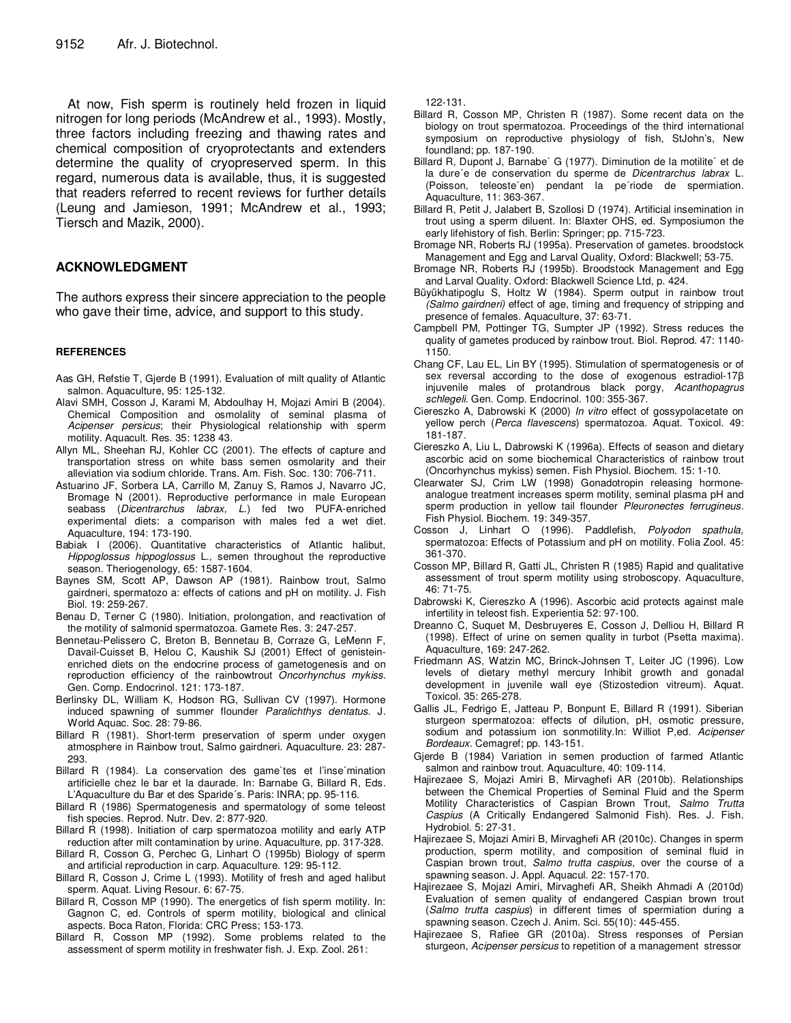At now, Fish sperm is routinely held frozen in liquid nitrogen for long periods (McAndrew et al., 1993). Mostly, three factors including freezing and thawing rates and chemical composition of cryoprotectants and extenders determine the quality of cryopreserved sperm. In this regard, numerous data is available, thus, it is suggested that readers referred to recent reviews for further details (Leung and Jamieson, 1991; McAndrew et al., 1993; Tiersch and Mazik, 2000).

## **ACKNOWLEDGMENT**

The authors express their sincere appreciation to the people who gave their time, advice, and support to this study.

#### **REFERENCES**

- Aas GH, Refstie T, Gjerde B (1991). Evaluation of milt quality of Atlantic salmon. Aquaculture, 95: 125-132.
- Alavi SMH, Cosson J, Karami M, Abdoulhay H, Mojazi Amiri B (2004). Chemical Composition and osmolality of seminal plasma of *Acipenser persicus*; their Physiological relationship with sperm motility. Aquacult. Res. 35: 1238 43.
- Allyn ML, Sheehan RJ, Kohler CC (2001). The effects of capture and transportation stress on white bass semen osmolarity and their alleviation via sodium chloride. Trans. Am. Fish. Soc. 130: 706-711.
- Astuarino JF, Sorbera LA, Carrillo M, Zanuy S, Ramos J, Navarro JC, Bromage N (2001). Reproductive performance in male European seabass (*Dicentrarchus labrax, L.*) fed two PUFA-enriched experimental diets: a comparison with males fed a wet diet. Aquaculture, 194: 173-190.
- Babiak I (2006). Quantitative characteristics of Atlantic halibut, *Hippoglossus hippoglossus* L., semen throughout the reproductive season. Theriogenology, 65: 1587-1604.
- Baynes SM, Scott AP, Dawson AP (1981). Rainbow trout, Salmo gairdneri, spermatozo a: effects of cations and pH on motility. J. Fish Biol. 19: 259-267.
- Benau D, Terner C (1980). Initiation, prolongation, and reactivation of the motility of salmonid spermatozoa. Gamete Res. 3: 247-257.
- Bennetau-Pelissero C, Breton B, Bennetau B, Corraze G, LeMenn F, Davail-Cuisset B, Helou C, Kaushik SJ (2001) Effect of genisteinenriched diets on the endocrine process of gametogenesis and on reproduction efficiency of the rainbowtrout *Oncorhynchus mykiss*. Gen. Comp. Endocrinol. 121: 173-187.
- Berlinsky DL, William K, Hodson RG, Sullivan CV (1997). Hormone induced spawning of summer flounder *Paralichthys dentatus*. J. World Aquac. Soc. 28: 79-86.
- Billard R (1981). Short-term preservation of sperm under oxygen atmosphere in Rainbow trout, Salmo gairdneri. Aquaculture. 23: 287- 293.
- Billard R (1984). La conservation des game`tes et l'inse´mination artificielle chez le bar et la daurade. In: Barnabe G, Billard R, Eds. L'Aquaculture du Bar et des Sparide´s. Paris: INRA; pp. 95-116.
- Billard R (1986) Spermatogenesis and spermatology of some teleost fish species. Reprod. Nutr. Dev. 2: 877-920.
- Billard R (1998). Initiation of carp spermatozoa motility and early ATP reduction after milt contamination by urine. Aquaculture, pp. 317-328.
- Billard R, Cosson G, Perchec G, Linhart O (1995b) Biology of sperm and artificial reproduction in carp. Aquaculture. 129: 95-112.
- Billard R, Cosson J, Crime L (1993). Motility of fresh and aged halibut sperm. Aquat. Living Resour. 6: 67-75.
- Billard R, Cosson MP (1990). The energetics of fish sperm motility. In: Gagnon C, ed. Controls of sperm motility, biological and clinical aspects. Boca Raton, Florida: CRC Press; 153-173.
- Billard R, Cosson MP (1992). Some problems related to the assessment of sperm motility in freshwater fish. J. Exp. Zool. 261:

122-131.

- Billard R, Cosson MP, Christen R (1987). Some recent data on the biology on trout spermatozoa. Proceedings of the third international symposium on reproductive physiology of fish, StJohn's, New foundland; pp. 187-190.
- Billard R, Dupont J, Barnabe´ G (1977). Diminution de la motilite´ et de la dure´e de conservation du sperme de *Dicentrarchus labrax* L. (Poisson, teleoste´en) pendant la pe´riode de spermiation. Aquaculture, 11: 363-367.
- Billard R, Petit J, Jalabert B, Szollosi D (1974). Artificial insemination in trout using a sperm diluent. In: Blaxter OHS, ed. Symposiumon the early lifehistory of fish. Berlin: Springer; pp. 715-723.
- Bromage NR, Roberts RJ (1995a). Preservation of gametes. broodstock Management and Egg and Larval Quality, Oxford: Blackwell; 53-75.
- Bromage NR, Roberts RJ (1995b). Broodstock Management and Egg and Larval Quality. Oxford: Blackwell Science Ltd, p. 424.
- Büyükhatipoglu S, Holtz W (1984). Sperm output in rainbow trout *(Salmo gairdneri)* effect of age, timing and frequency of stripping and presence of females. Aquaculture, 37: 63-71.
- Campbell PM, Pottinger TG, Sumpter JP (1992). Stress reduces the quality of gametes produced by rainbow trout. Biol. Reprod. 47: 1140- 1150.
- Chang CF, Lau EL, Lin BY (1995). Stimulation of spermatogenesis or of sex reversal according to the dose of exogenous estradiol-17 $\beta$ injuvenile males of protandrous black porgy, *Acanthopagrus schlegeli*. Gen. Comp. Endocrinol. 100: 355-367.
- Ciereszko A, Dabrowski K (2000) *In vitro* effect of gossypolacetate on yellow perch (*Perca flavescens*) spermatozoa. Aquat. Toxicol. 49: 181-187.
- Ciereszko A, Liu L, Dabrowski K (1996a). Effects of season and dietary ascorbic acid on some biochemical Characteristics of rainbow trout (Oncorhynchus mykiss) semen. Fish Physiol. Biochem. 15: 1-10.
- Clearwater SJ, Crim LW (1998) Gonadotropin releasing hormoneanalogue treatment increases sperm motility, seminal plasma pH and sperm production in yellow tail flounder *Pleuronectes ferrugineus*. Fish Physiol. Biochem. 19: 349-357.
- Cosson J, Linhart O (1996). Paddlefish, *Polyodon spathula*, spermatozoa: Effects of Potassium and pH on motility. Folia Zool. 45: 361-370.
- Cosson MP, Billard R, Gatti JL, Christen R (1985) Rapid and qualitative assessment of trout sperm motility using stroboscopy. Aquaculture, 46: 71-75.
- Dabrowski K, Ciereszko A (1996). Ascorbic acid protects against male infertility in teleost fish. Experientia 52: 97-100.
- Dreanno C, Suquet M, Desbruyeres E, Cosson J, Delliou H, Billard R (1998). Effect of urine on semen quality in turbot (Psetta maxima). Aquaculture, 169: 247-262.
- Friedmann AS, Watzin MC, Brinck-Johnsen T, Leiter JC (1996). Low levels of dietary methyl mercury Inhibit growth and gonadal development in juvenile wall eye (Stizostedion vitreum). Aquat. Toxicol. 35: 265-278.
- Gallis JL, Fedrigo E, Jatteau P, Bonpunt E, Billard R (1991). Siberian sturgeon spermatozoa: effects of dilution, pH, osmotic pressure, sodium and potassium ion sonmotility.In: Williot P,ed. *Acipenser Bordeaux*. Cemagref; pp. 143-151.
- Gjerde B (1984) Variation in semen production of farmed Atlantic salmon and rainbow trout. Aquaculture, 40: 109-114.
- Hajirezaee S, Mojazi Amiri B, Mirvaghefi AR (2010b). Relationships between the Chemical Properties of Seminal Fluid and the Sperm Motility Characteristics of Caspian Brown Trout, *Salmo Trutta Caspius* (A Critically Endangered Salmonid Fish). Res. J. Fish. Hydrobiol. 5: 27-31.
- Hajirezaee S, Mojazi Amiri B, Mirvaghefi AR (2010c). Changes in sperm production, sperm motility, and composition of seminal fluid in Caspian brown trout, *Salmo trutta caspius*, over the course of a spawning season. J. Appl. Aquacul. 22: 157-170.
- Hajirezaee S, Mojazi Amiri, Mirvaghefi AR, Sheikh Ahmadi A (2010d) Evaluation of semen quality of endangered Caspian brown trout (*Salmo trutta caspius*) in different times of spermiation during a spawning season. Czech J. Anim. Sci. 55(10): 445-455.
- Hajirezaee S, Rafiee GR (2010a). Stress responses of Persian sturgeon, *Acipenser persicus* to repetition of a management stressor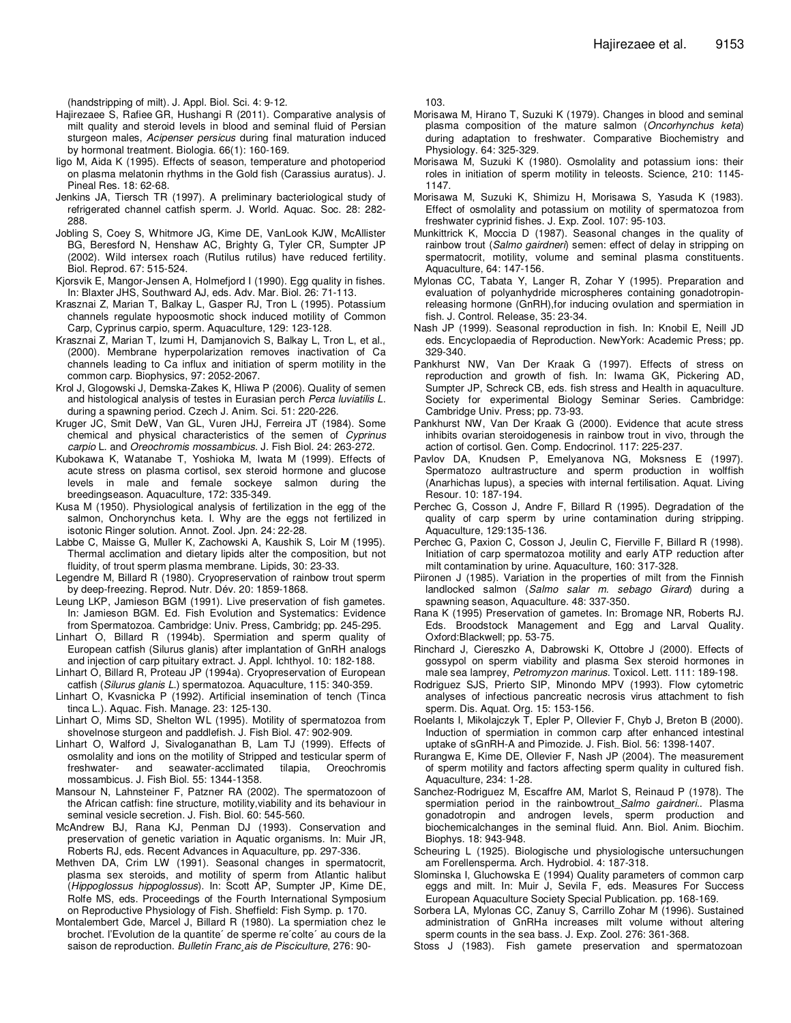(handstripping of milt). J. Appl. Biol. Sci. 4: 9-12.

- Hajirezaee S, Rafiee GR, Hushangi R (2011). Comparative analysis of milt quality and steroid levels in blood and seminal fluid of Persian sturgeon males, *Acipenser persicus* during final maturation induced by hormonal treatment. Biologia. 66(1): 160-169.
- Iigo M, Aida K (1995). Effects of season, temperature and photoperiod on plasma melatonin rhythms in the Gold fish (Carassius auratus). J. Pineal Res. 18: 62-68.
- Jenkins JA, Tiersch TR (1997). A preliminary bacteriological study of refrigerated channel catfish sperm. J. World. Aquac. Soc. 28: 282- 288.
- Jobling S, Coey S, Whitmore JG, Kime DE, VanLook KJW, McAllister BG, Beresford N, Henshaw AC, Brighty G, Tyler CR, Sumpter JP (2002). Wild intersex roach (Rutilus rutilus) have reduced fertility. Biol. Reprod. 67: 515-524.
- Kjorsvik E, Mangor-Jensen A, Holmefjord I (1990). Egg quality in fishes. In: Blaxter JHS, Southward AJ, eds. Adv. Mar. Biol. 26: 71-113.
- Krasznai Z, Marian T, Balkay L, Gasper RJ, Tron L (1995). Potassium channels regulate hypoosmotic shock induced motility of Common Carp, Cyprinus carpio, sperm. Aquaculture, 129: 123-128.
- Krasznai Z, Marian T, Izumi H, Damjanovich S, Balkay L, Tron L, et al., (2000). Membrane hyperpolarization removes inactivation of Ca channels leading to Ca influx and initiation of sperm motility in the common carp. Biophysics, 97: 2052-2067.
- Krol J, Glogowski J, Demska-Zakes K, Hliwa P (2006). Quality of semen and histological analysis of testes in Eurasian perch *Perca luviatilis L*. during a spawning period. Czech J. Anim. Sci. 51: 220-226.
- Kruger JC, Smit DeW, Van GL, Vuren JHJ, Ferreira JT (1984). Some chemical and physical characteristics of the semen of *Cyprinus carpio* L. and *Oreochromis mossambicus*. J. Fish Biol. 24: 263-272.
- Kubokawa K, Watanabe T, Yoshioka M, Iwata M (1999). Effects of acute stress on plasma cortisol, sex steroid hormone and glucose levels in male and female sockeye salmon during the breedingseason. Aquaculture, 172: 335-349.
- Kusa M (1950). Physiological analysis of fertilization in the egg of the salmon, Onchorynchus keta. I. Why are the eggs not fertilized in isotonic Ringer solution. Annot. Zool. Jpn. 24: 22-28.
- Labbe C, Maisse G, Muller K, Zachowski A, Kaushik S, Loir M (1995). Thermal acclimation and dietary lipids alter the composition, but not fluidity, of trout sperm plasma membrane. Lipids, 30: 23-33.
- Legendre M, Billard R (1980). Cryopreservation of rainbow trout sperm by deep-freezing. Reprod. Nutr. Dév. 20: 1859-1868.
- Leung LKP, Jamieson BGM (1991). Live preservation of fish gametes. In: Jamieson BGM. Ed. Fish Evolution and Systematics: Evidence from Spermatozoa. Cambridge: Univ. Press, Cambridg; pp. 245-295.
- Linhart O, Billard R (1994b). Spermiation and sperm quality of European catfish (Silurus glanis) after implantation of GnRH analogs and injection of carp pituitary extract. J. Appl. Ichthyol. 10: 182-188.
- Linhart O, Billard R, Proteau JP (1994a). Cryopreservation of European catfish (*Silurus glanis L*.) spermatozoa. Aquaculture, 115: 340-359.
- Linhart O, Kvasnicka P (1992). Artificial insemination of tench (Tinca tinca L.). Aquac. Fish. Manage. 23: 125-130.
- Linhart O, Mims SD, Shelton WL (1995). Motility of spermatozoa from shovelnose sturgeon and paddlefish. J. Fish Biol. 47: 902-909.
- Linhart O, Walford J, Sivaloganathan B, Lam TJ (1999). Effects of osmolality and ions on the motility of Stripped and testicular sperm of freshwater- and seawater-acclimated tilapia, Oreochromis mossambicus. J. Fish Biol. 55: 1344-1358.
- Mansour N, Lahnsteiner F, Patzner RA (2002). The spermatozoon of the African catfish: fine structure, motility,viability and its behaviour in seminal vesicle secretion. J. Fish. Biol. 60: 545-560.
- McAndrew BJ, Rana KJ, Penman DJ (1993). Conservation and preservation of genetic variation in Aquatic organisms. In: Muir JR, Roberts RJ, eds. Recent Advances in Aquaculture, pp. 297-336.
- Methven DA, Crim LW (1991). Seasonal changes in spermatocrit, plasma sex steroids, and motility of sperm from Atlantic halibut (*Hippoglossus hippoglossus*). In: Scott AP, Sumpter JP, Kime DE, Rolfe MS, eds. Proceedings of the Fourth International Symposium on Reproductive Physiology of Fish. Sheffield: Fish Symp. p. 170.
- Montalembert Gde, Marcel J, Billard R (1980). La spermiation chez le brochet. l'Evolution de la quantite´ de sperme re´colte´ au cours de la saison de reproduction. *Bulletin Franc¸ais de Pisciculture*, 276: 90-

103.

- Morisawa M, Hirano T, Suzuki K (1979). Changes in blood and seminal plasma composition of the mature salmon (*Oncorhynchus keta*) during adaptation to freshwater. Comparative Biochemistry and Physiology. 64: 325-329.
- Morisawa M, Suzuki K (1980). Osmolality and potassium ions: their roles in initiation of sperm motility in teleosts. Science, 210: 1145- 1147.
- Morisawa M, Suzuki K, Shimizu H, Morisawa S, Yasuda K (1983). Effect of osmolality and potassium on motility of spermatozoa from freshwater cyprinid fishes. J. Exp. Zool. 107: 95-103.
- Munkittrick K, Moccia D (1987). Seasonal changes in the quality of rainbow trout (*Salmo gairdneri*) semen: effect of delay in stripping on spermatocrit, motility, volume and seminal plasma constituents. Aquaculture, 64: 147-156.
- Mylonas CC, Tabata Y, Langer R, Zohar Y (1995). Preparation and evaluation of polyanhydride microspheres containing gonadotropinreleasing hormone (GnRH),for inducing ovulation and spermiation in fish. J. Control. Release, 35: 23-34.
- Nash JP (1999). Seasonal reproduction in fish. In: Knobil E, Neill JD eds. Encyclopaedia of Reproduction. NewYork: Academic Press; pp. 329-340.
- Pankhurst NW, Van Der Kraak G (1997). Effects of stress on reproduction and growth of fish. In: Iwama GK, Pickering AD, Sumpter JP, Schreck CB, eds. fish stress and Health in aquaculture. Society for experimental Biology Seminar Series. Cambridge: Cambridge Univ. Press; pp. 73-93.
- Pankhurst NW, Van Der Kraak G (2000). Evidence that acute stress inhibits ovarian steroidogenesis in rainbow trout in vivo, through the action of cortisol. Gen. Comp. Endocrinol. 117: 225-237.
- Pavlov DA, Knudsen P, Emelyanova NG, Moksness E (1997). Spermatozo aultrastructure and sperm production in wolffish (Anarhichas lupus), a species with internal fertilisation. Aquat. Living Resour. 10: 187-194.
- Perchec G, Cosson J, Andre F, Billard R (1995). Degradation of the quality of carp sperm by urine contamination during stripping. Aquaculture, 129:135-136.
- Perchec G, Paxion C, Cosson J, Jeulin C, Fierville F, Billard R (1998). Initiation of carp spermatozoa motility and early ATP reduction after milt contamination by urine. Aquaculture, 160: 317-328.
- Piironen J (1985). Variation in the properties of milt from the Finnish landlocked salmon (*Salmo salar m. sebago Girard*) during a spawning season, Aquaculture. 48: 337-350.
- Rana K (1995) Preservation of gametes. In: Bromage NR, Roberts RJ. Eds. Broodstock Management and Egg and Larval Quality. Oxford:Blackwell; pp. 53-75.
- Rinchard J, Ciereszko A, Dabrowski K, Ottobre J (2000). Effects of gossypol on sperm viability and plasma Sex steroid hormones in male sea lamprey, *Petromyzon marinus*. Toxicol. Lett. 111: 189-198.
- Rodriguez SJS, Prierto SIP, Minondo MPV (1993). Flow cytometric analyses of infectious pancreatic necrosis virus attachment to fish sperm. Dis. Aquat. Org. 15: 153-156.
- Roelants I, Mikolajczyk T, Epler P, Ollevier F, Chyb J, Breton B (2000). Induction of spermiation in common carp after enhanced intestinal uptake of sGnRH-A and Pimozide. J. Fish. Biol. 56: 1398-1407.
- Rurangwa E, Kime DE, Ollevier F, Nash JP (2004). The measurement of sperm motility and factors affecting sperm quality in cultured fish. Aquaculture, 234: 1-28.
- Sanchez-Rodriguez M, Escaffre AM, Marlot S, Reinaud P (1978). The spermiation period in the rainbowtrout\_*Salmo gairdneri*.. Plasma gonadotropin and androgen levels, sperm production and biochemicalchanges in the seminal fluid. Ann. Biol. Anim. Biochim. Biophys. 18: 943-948.
- Scheuring L (1925). Biologische und physiologische untersuchungen am Forellensperma. Arch. Hydrobiol. 4: 187-318.
- Slominska I, Gluchowska E (1994) Quality parameters of common carp eggs and milt. In: Muir J, Sevila F, eds*.* Measures For Success European Aquaculture Society Special Publication. pp. 168-169.
- Sorbera LA, Mylonas CC, Zanuy S, Carrillo Zohar M (1996). Sustained administration of GnRHa increases milt volume without altering sperm counts in the sea bass. J. Exp. Zool. 276: 361-368.
- Stoss J (1983). Fish gamete preservation and spermatozoan